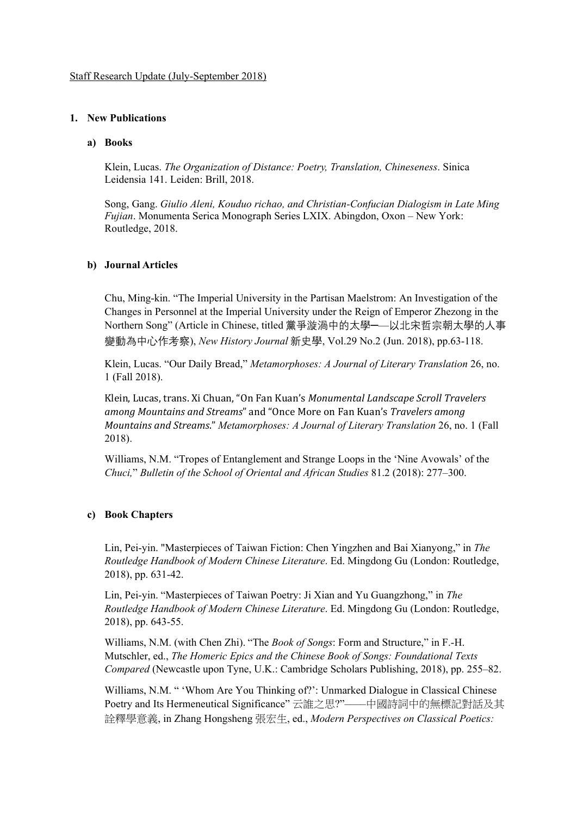### **1. New Publications**

#### **a) Books**

Klein, Lucas. *The Organization of Distance: Poetry, Translation, Chineseness*. Sinica Leidensia 141. Leiden: Brill, 2018.

Song, Gang. *Giulio Aleni, Kouduo richao, and Christian-Confucian Dialogism in Late Ming Fujian*. Monumenta Serica Monograph Series LXIX. Abingdon, Oxon – New York: Routledge, 2018.

#### **b) Journal Articles**

Chu, Ming-kin. "The Imperial University in the Partisan Maelstrom: An Investigation of the Changes in Personnel at the Imperial University under the Reign of Emperor Zhezong in the Northern Song" (Article in Chinese, titled 黨爭漩渦中的太學─—以北宋哲宗朝太學的人事 變動為中心作考察), *New History Journal* 新史學, Vol.29 No.2 (Jun. 2018), pp.63-118.

Klein, Lucas. "Our Daily Bread," *Metamorphoses: A Journal of Literary Translation* 26, no. 1 (Fall 2018).

Klein, Lucas, trans. Xi Chuan, "On Fan Kuan's *Monumental Landscape Scroll Travelers among Mountains and Streams*" and "Once More on Fan Kuan's *Travelers among Mountains and Streams*." *Metamorphoses: A Journal of Literary Translation* 26, no. 1 (Fall 2018).

Williams, N.M. "Tropes of Entanglement and Strange Loops in the 'Nine Avowals' of the *Chuci,*" *Bulletin of the School of Oriental and African Studies* 81.2 (2018): 277–300.

## **c) Book Chapters**

Lin, Pei-yin. "Masterpieces of Taiwan Fiction: Chen Yingzhen and Bai Xianyong," in *The Routledge Handbook of Modern Chinese Literature*. Ed. Mingdong Gu (London: Routledge, 2018), pp. 631-42.

Lin, Pei-yin. "Masterpieces of Taiwan Poetry: Ji Xian and Yu Guangzhong," in *The Routledge Handbook of Modern Chinese Literature*. Ed. Mingdong Gu (London: Routledge, 2018), pp. 643-55.

Williams, N.M. (with Chen Zhi). "The *Book of Songs*: Form and Structure," in F.-H. Mutschler, ed., *The Homeric Epics and the Chinese Book of Songs: Foundational Texts Compared* (Newcastle upon Tyne, U.K.: Cambridge Scholars Publishing, 2018), pp. 255–82.

Williams, N.M. " 'Whom Are You Thinking of?': Unmarked Dialogue in Classical Chinese Poetry and Its Hermeneutical Significance" 云誰之思?"––––中國詩詞中的無標記對話及其 詮釋學意義, in Zhang Hongsheng 張宏生, ed., *Modern Perspectives on Classical Poetics:*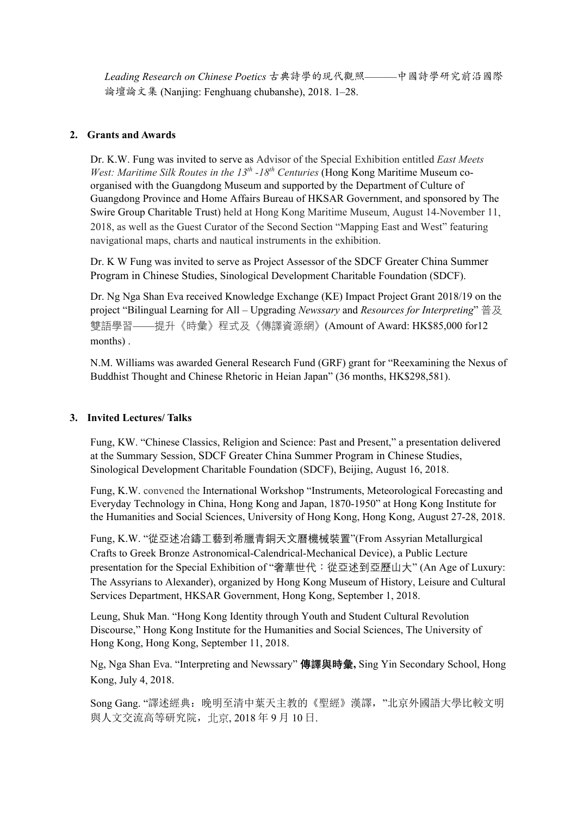*Leading Research on Chinese Poetics* 古典詩學的現代觀照———中國詩學研究前沿國際 論壇論文集 (Nanjing: Fenghuang chubanshe), 2018. 1–28.

### **2. Grants and Awards**

Dr. K.W. Fung was invited to serve as Advisor of the Special Exhibition entitled *East Meets West: Maritime Silk Routes in the 13<sup>th</sup> -18<sup>th</sup> Centuries* (Hong Kong Maritime Museum coorganised with the Guangdong Museum and supported by the Department of Culture of Guangdong Province and Home Affairs Bureau of HKSAR Government, and sponsored by The Swire Group Charitable Trust) held at Hong Kong Maritime Museum, August 14-November 11, 2018, as well as the Guest Curator of the Second Section "Mapping East and West" featuring navigational maps, charts and nautical instruments in the exhibition.

Dr. K W Fung was invited to serve as Project Assessor of the SDCF Greater China Summer Program in Chinese Studies, Sinological Development Charitable Foundation (SDCF).

Dr. Ng Nga Shan Eva received Knowledge Exchange (KE) Impact Project Grant 2018/19 on the project "Bilingual Learning for All – Upgrading *Newssary* and *Resources for Interpreting*" 普及 雙語學習——提升《時彙》程式及《傳譯資源網》(Amount of Award: HK\$85,000 for12 months) .

N.M. Williams was awarded General Research Fund (GRF) grant for "Reexamining the Nexus of Buddhist Thought and Chinese Rhetoric in Heian Japan" (36 months, HK\$298,581).

#### **3. Invited Lectures/ Talks**

Fung, KW. "Chinese Classics, Religion and Science: Past and Present," a presentation delivered at the Summary Session, SDCF Greater China Summer Program in Chinese Studies, Sinological Development Charitable Foundation (SDCF), Beijing, August 16, 2018.

Fung, K.W. convened the International Workshop "Instruments, Meteorological Forecasting and Everyday Technology in China, Hong Kong and Japan, 1870-1950" at Hong Kong Institute for the Humanities and Social Sciences, University of Hong Kong, Hong Kong, August 27-28, 2018.

Fung, K.W. "從亞述冶鑄工藝到希臘青銅天文曆機械裝置"(From Assyrian Metallurgical Crafts to Greek Bronze Astronomical-Calendrical-Mechanical Device), a Public Lecture presentation for the Special Exhibition of "奢華世代:從亞述到亞歷山大" (An Age of Luxury: The Assyrians to Alexander), organized by Hong Kong Museum of History, Leisure and Cultural Services Department, HKSAR Government, Hong Kong, September 1, 2018.

Leung, Shuk Man. "Hong Kong Identity through Youth and Student Cultural Revolution Discourse," Hong Kong Institute for the Humanities and Social Sciences, The University of Hong Kong, Hong Kong, September 11, 2018.

Ng, Nga Shan Eva. "Interpreting and Newssary" **傳譯與時彙,** Sing Yin Secondary School, Hong Kong, July 4, 2018.

Song Gang. "譯述經典: 晚明至清中葉天主教的《聖經》漢譯, "北京外國語大學比較文明 與人文交流高等研究院,北京, 2018 年 9 月 10 日.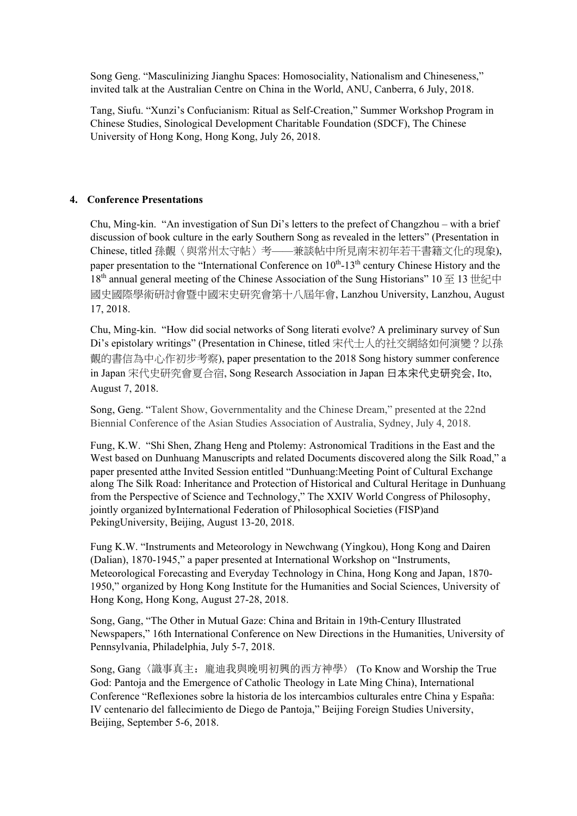Song Geng. "Masculinizing Jianghu Spaces: Homosociality, Nationalism and Chineseness," invited talk at the Australian Centre on China in the World, ANU, Canberra, 6 July, 2018.

Tang, Siufu. "Xunzi's Confucianism: Ritual as Self-Creation," Summer Workshop Program in Chinese Studies, Sinological Development Charitable Foundation (SDCF), The Chinese University of Hong Kong, Hong Kong, July 26, 2018.

# **4. Conference Presentations**

Chu, Ming-kin. "An investigation of Sun Di's letters to the prefect of Changzhou – with a brief discussion of book culture in the early Southern Song as revealed in the letters" (Presentation in Chinese, titled 孫覿〈與常州太守帖〉考——兼談帖中所見南宋初年若干書籍文化的現象), paper presentation to the "International Conference on  $10^{th}$ -13<sup>th</sup> century Chinese History and the 18<sup>th</sup> annual general meeting of the Chinese Association of the Sung Historians" 10  $\cong$  13 世紀中 國史國際學術研討會暨中國宋史研究會第十八屆年會, Lanzhou University, Lanzhou, August 17, 2018.

Chu, Ming-kin. "How did social networks of Song literati evolve? A preliminary survey of Sun Di's epistolary writings" (Presentation in Chinese, titled 宋代士人的社交網絡如何演變?以孫 覿的書信為中心作初步考察), paper presentation to the 2018 Song history summer conference in Japan 宋代史研究會夏合宿, Song Research Association in Japan 日本宋代史研究会, Ito, August 7, 2018.

Song, Geng. "Talent Show, Governmentality and the Chinese Dream," presented at the 22nd Biennial Conference of the Asian Studies Association of Australia, Sydney, July 4, 2018.

Fung, K.W. "Shi Shen, Zhang Heng and Ptolemy: Astronomical Traditions in the East and the West based on Dunhuang Manuscripts and related Documents discovered along the Silk Road," a paper presented atthe Invited Session entitled "Dunhuang:Meeting Point of Cultural Exchange along The Silk Road: Inheritance and Protection of Historical and Cultural Heritage in Dunhuang from the Perspective of Science and Technology," The XXIV World Congress of Philosophy, jointly organized byInternational Federation of Philosophical Societies (FISP)and PekingUniversity, Beijing, August 13-20, 2018.

Fung K.W. "Instruments and Meteorology in Newchwang (Yingkou), Hong Kong and Dairen (Dalian), 1870-1945," a paper presented at International Workshop on "Instruments, Meteorological Forecasting and Everyday Technology in China, Hong Kong and Japan, 1870- 1950," organized by Hong Kong Institute for the Humanities and Social Sciences, University of Hong Kong, Hong Kong, August 27-28, 2018.

Song, Gang, "The Other in Mutual Gaze: China and Britain in 19th-Century Illustrated Newspapers," 16th International Conference on New Directions in the Humanities, University of Pennsylvania, Philadelphia, July 5-7, 2018.

Song, Gang〈識事真主:龐迪我與晚明初興的西方神學〉 (To Know and Worship the True God: Pantoja and the Emergence of Catholic Theology in Late Ming China), International Conference "Reflexiones sobre la historia de los intercambios culturales entre China y España: IV centenario del fallecimiento de Diego de Pantoja," Beijing Foreign Studies University, Beijing, September 5-6, 2018.